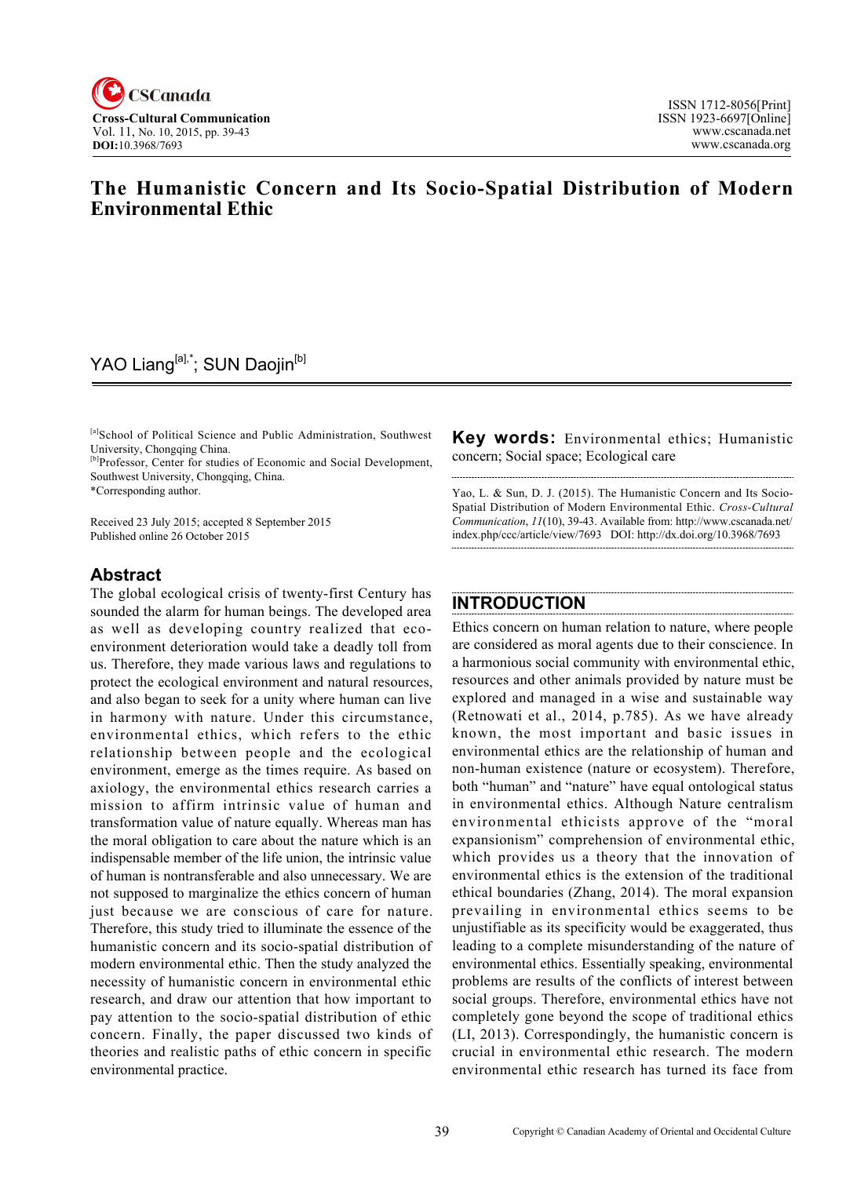

### **The Humanistic Concern and Its Socio-Spatial Distribution of Modern Environmental Ethic**

### YAO Liang<sup>[a],\*</sup>; SUN Daojin<sup>[b]</sup>

[a]School of Political Science and Public Administration, Southwest University, Chongqing China.

<sup>[b]</sup>Professor, Center for studies of Economic and Social Development, Southwest University, Chongqing, China.

\*Corresponding author.

Received 23 July 2015; accepted 8 September 2015 Published online 26 October 2015

### **Abstract**

The global ecological crisis of twenty-first Century has sounded the alarm for human beings. The developed area as well as developing country realized that ecoenvironment deterioration would take a deadly toll from us. Therefore, they made various laws and regulations to protect the ecological environment and natural resources, and also began to seek for a unity where human can live in harmony with nature. Under this circumstance, environmental ethics, which refers to the ethic relationship between people and the ecological environment, emerge as the times require. As based on axiology, the environmental ethics research carries a mission to affirm intrinsic value of human and transformation value of nature equally. Whereas man has the moral obligation to care about the nature which is an indispensable member of the life union, the intrinsic value of human is nontransferable and also unnecessary. We are not supposed to marginalize the ethics concern of human just because we are conscious of care for nature. Therefore, this study tried to illuminate the essence of the humanistic concern and its socio-spatial distribution of modern environmental ethic. Then the study analyzed the necessity of humanistic concern in environmental ethic research, and draw our attention that how important to pay attention to the socio-spatial distribution of ethic concern. Finally, the paper discussed two kinds of theories and realistic paths of ethic concern in specific environmental practice.

**Key words:** Environmental ethics; Humanistic concern; Social space; Ecological care

Yao, L. & Sun, D. J. (2015). The Humanistic Concern and Its Socio-Spatial Distribution of Modern Environmental Ethic. *Cross-Cultural Communication*, *11*(10), 39-43. Available from: [http://www.cscanada.net/](http://www.cscanada.net/index.php/ccc/article/view/7693) [index.php/ccc/article/view/7693](http://www.cscanada.net/index.php/ccc/article/view/7693) DOI: http://dx.doi.org/10.3968/7693

# **INTRODUCTION**

Ethics concern on human relation to nature, where people are considered as moral agents due to their conscience. In a harmonious social community with environmental ethic, resources and other animals provided by nature must be explored and managed in a wise and sustainable way (Retnowati et al., 2014, p.785). As we have already known, the most important and basic issues in environmental ethics are the relationship of human and non-human existence (nature or ecosystem). Therefore, both "human" and "nature" have equal ontological status in environmental ethics. Although Nature centralism environmental ethicists approve of the "moral expansionism" comprehension of environmental ethic, which provides us a theory that the innovation of environmental ethics is the extension of the traditional ethical boundaries (Zhang, 2014). The moral expansion prevailing in environmental ethics seems to be unjustifiable as its specificity would be exaggerated, thus leading to a complete misunderstanding of the nature of environmental ethics. Essentially speaking, environmental problems are results of the conflicts of interest between social groups. Therefore, environmental ethics have not completely gone beyond the scope of traditional ethics (LI, 2013). Correspondingly, the humanistic concern is crucial in environmental ethic research. The modern environmental ethic research has turned its face from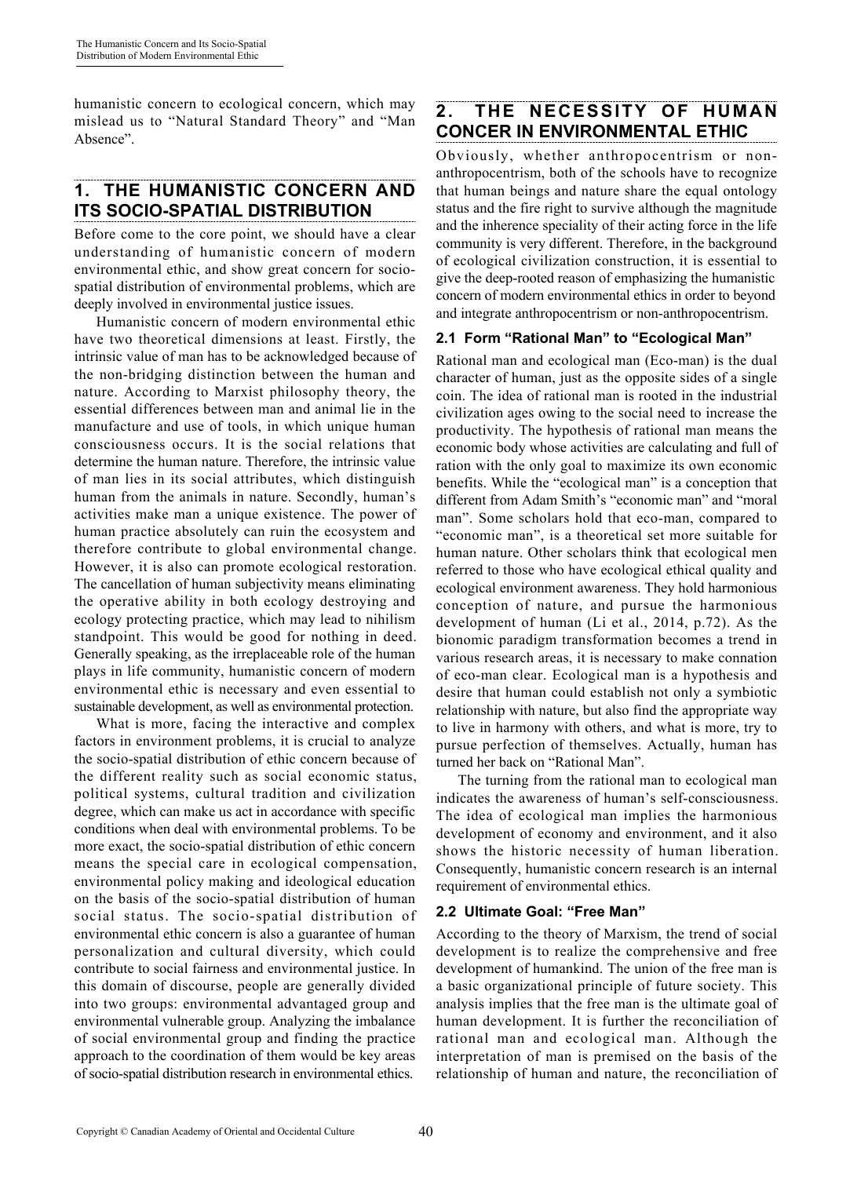humanistic concern to ecological concern, which may mislead us to "Natural Standard Theory" and "Man Absence".

# **1. THE HUMANISTIC CONCERN AND ITS SOCIO-SPATIAL DISTRIBUTION**

Before come to the core point, we should have a clear understanding of humanistic concern of modern environmental ethic, and show great concern for sociospatial distribution of environmental problems, which are deeply involved in environmental justice issues.

Humanistic concern of modern environmental ethic have two theoretical dimensions at least. Firstly, the intrinsic value of man has to be acknowledged because of the non-bridging distinction between the human and nature. According to Marxist philosophy theory, the essential differences between man and animal lie in the manufacture and use of tools, in which unique human consciousness occurs. It is the social relations that determine the human nature. Therefore, the intrinsic value of man lies in its social attributes, which distinguish human from the animals in nature. Secondly, human's activities make man a unique existence. The power of human practice absolutely can ruin the ecosystem and therefore contribute to global environmental change. However, it is also can promote ecological restoration. The cancellation of human subjectivity means eliminating the operative ability in both ecology destroying and ecology protecting practice, which may lead to nihilism standpoint. This would be good for nothing in deed. Generally speaking, as the irreplaceable role of the human plays in life community, humanistic concern of modern environmental ethic is necessary and even essential to sustainable development, as well as environmental protection.

What is more, facing the interactive and complex factors in environment problems, it is crucial to analyze the socio-spatial distribution of ethic concern because of the different reality such as social economic status, political systems, cultural tradition and civilization degree, which can make us act in accordance with specific conditions when deal with environmental problems. To be more exact, the socio-spatial distribution of ethic concern means the special care in ecological compensation, environmental policy making and ideological education on the basis of the socio-spatial distribution of human social status. The socio-spatial distribution of environmental ethic concern is also a guarantee of human personalization and cultural diversity, which could contribute to social fairness and environmental justice. In this domain of discourse, people are generally divided into two groups: environmental advantaged group and environmental vulnerable group. Analyzing the imbalance of social environmental group and finding the practice approach to the coordination of them would be key areas of socio-spatial distribution research in environmental ethics.

### **2. THE NECESSITY OF HUMAN CONCER IN ENVIRONMENTAL ETHIC**

Obviously, whether anthropocentrism or nonanthropocentrism, both of the schools have to recognize that human beings and nature share the equal ontology status and the fire right to survive although the magnitude and the inherence speciality of their acting force in the life community is very different. Therefore, in the background of ecological civilization construction, it is essential to give the deep-rooted reason of emphasizing the humanistic concern of modern environmental ethics in order to beyond and integrate anthropocentrism or non-anthropocentrism.

### **2.1 Form "Rational Man" to "Ecological Man"**

Rational man and ecological man (Eco-man) is the dual character of human, just as the opposite sides of a single coin. The idea of rational man is rooted in the industrial civilization ages owing to the social need to increase the productivity. The hypothesis of rational man means the economic body whose activities are calculating and full of ration with the only goal to maximize its own economic benefits. While the "ecological man" is a conception that different from Adam Smith's "economic man" and "moral man". Some scholars hold that eco-man, compared to "economic man", is a theoretical set more suitable for human nature. Other scholars think that ecological men referred to those who have ecological ethical quality and ecological environment awareness. They hold harmonious conception of nature, and pursue the harmonious development of human (Li et al., 2014, p.72). As the bionomic paradigm transformation becomes a trend in various research areas, it is necessary to make connation of eco-man clear. Ecological man is a hypothesis and desire that human could establish not only a symbiotic relationship with nature, but also find the appropriate way to live in harmony with others, and what is more, try to pursue perfection of themselves. Actually, human has turned her back on "Rational Man".

The turning from the rational man to ecological man indicates the awareness of human's self-consciousness. The idea of ecological man implies the harmonious development of economy and environment, and it also shows the historic necessity of human liberation. Consequently, humanistic concern research is an internal requirement of environmental ethics.

### **2.2 Ultimate Goal: "Free Man"**

According to the theory of Marxism, the trend of social development is to realize the comprehensive and free development of humankind. The union of the free man is a basic organizational principle of future society. This analysis implies that the free man is the ultimate goal of human development. It is further the reconciliation of rational man and ecological man. Although the interpretation of man is premised on the basis of the relationship of human and nature, the reconciliation of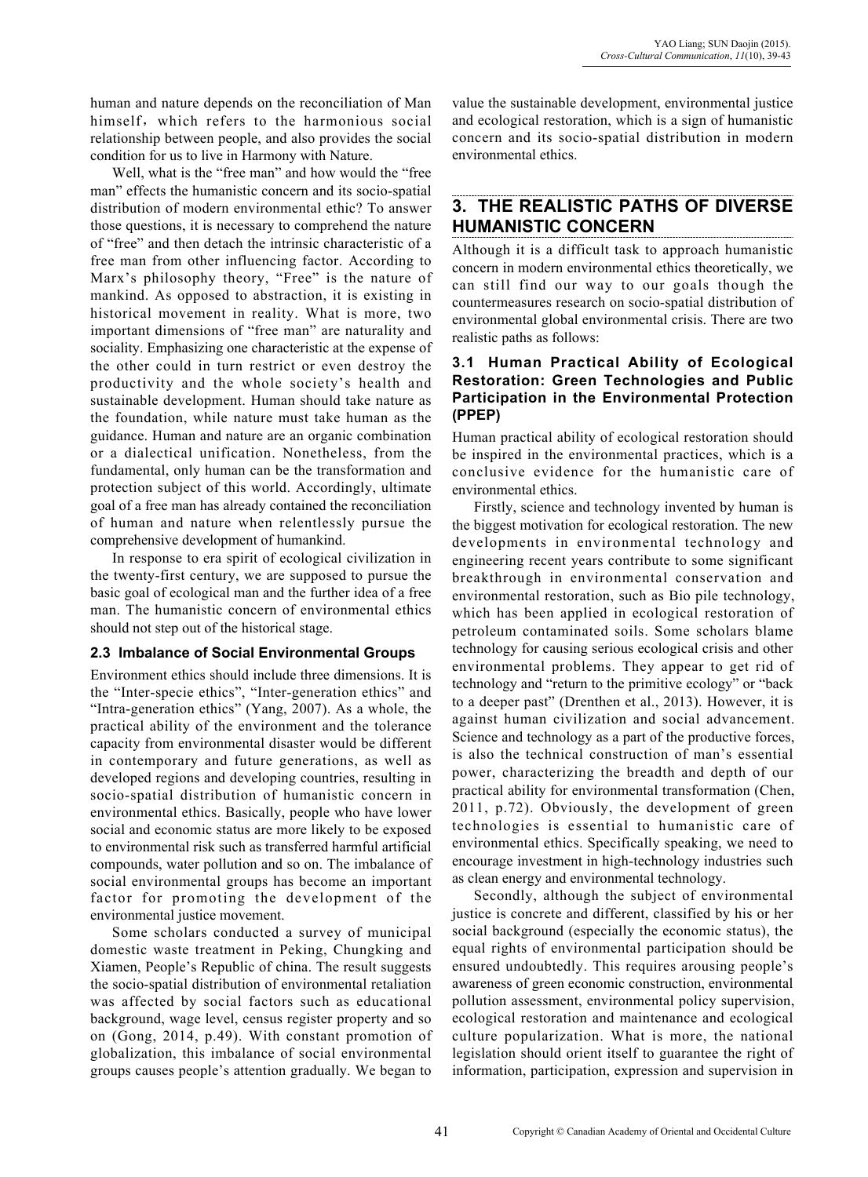human and nature depends on the reconciliation of Man himself, which refers to the harmonious social relationship between people, and also provides the social condition for us to live in Harmony with Nature.

Well, what is the "free man" and how would the "free man" effects the humanistic concern and its socio-spatial distribution of modern environmental ethic? To answer those questions, it is necessary to comprehend the nature of "free" and then detach the intrinsic characteristic of a free man from other influencing factor. According to Marx's philosophy theory, "Free" is the nature of mankind. As opposed to abstraction, it is existing in historical movement in reality. What is more, two important dimensions of "free man" are naturality and sociality. Emphasizing one characteristic at the expense of the other could in turn restrict or even destroy the productivity and the whole society's health and sustainable development. Human should take nature as the foundation, while nature must take human as the guidance. Human and nature are an organic combination or a dialectical unification. Nonetheless, from the fundamental, only human can be the transformation and protection subject of this world. Accordingly, ultimate goal of a free man has already contained the reconciliation of human and nature when relentlessly pursue the comprehensive development of humankind.

In response to era spirit of ecological civilization in the twenty-first century, we are supposed to pursue the basic goal of ecological man and the further idea of a free man. The humanistic concern of environmental ethics should not step out of the historical stage.

#### **2.3 Imbalance of Social Environmental Groups**

Environment ethics should include three dimensions. It is the "Inter-specie ethics", "Inter-generation ethics" and "Intra-generation ethics" (Yang, 2007). As a whole, the practical ability of the environment and the tolerance capacity from environmental disaster would be different in contemporary and future generations, as well as developed regions and developing countries, resulting in socio-spatial distribution of humanistic concern in environmental ethics. Basically, people who have lower social and economic status are more likely to be exposed to environmental risk such as transferred harmful artificial compounds, water pollution and so on. The imbalance of social environmental groups has become an important factor for promoting the development of the environmental justice movement.

Some scholars conducted a survey of municipal domestic waste treatment in Peking, Chungking and Xiamen, People's Republic of china. The result suggests the socio-spatial distribution of environmental retaliation was affected by social factors such as educational background, wage level, census register property and so on (Gong, 2014, p.49). With constant promotion of globalization, this imbalance of social environmental groups causes people's attention gradually. We began to

value the sustainable development, environmental justice and ecological restoration, which is a sign of humanistic concern and its socio-spatial distribution in modern environmental ethics.

### **3. THE REALISTIC PATHS OF DIVERSE HUMANISTIC CONCERN**

Although it is a difficult task to approach humanistic concern in modern environmental ethics theoretically, we can still find our way to our goals though the countermeasures research on socio-spatial distribution of environmental global environmental crisis. There are two realistic paths as follows:

#### **3.1 Human Practical Ability of Ecological Restoration: Green Technologies and Public Participation in the Environmental Protection (PPEP)**

Human practical ability of ecological restoration should be inspired in the environmental practices, which is a conclusive evidence for the humanistic care of environmental ethics.

Firstly, science and technology invented by human is the biggest motivation for ecological restoration. The new developments in environmental technology and engineering recent years contribute to some significant breakthrough in environmental conservation and environmental restoration, such as Bio pile technology, which has been applied in ecological restoration of petroleum contaminated soils. Some scholars blame technology for causing serious ecological crisis and other environmental problems. They appear to get rid of technology and "return to the primitive ecology" or "back to a deeper past" (Drenthen et al., 2013). However, it is against human civilization and social advancement. Science and technology as a part of the productive forces, is also the technical construction of man's essential power, characterizing the breadth and depth of our practical ability for environmental transformation (Chen, 2011, p.72). Obviously, the development of green technologies is essential to humanistic care of environmental ethics. Specifically speaking, we need to encourage investment in high-technology industries such as clean energy and environmental technology.

Secondly, although the subject of environmental justice is concrete and different, classified by his or her social background (especially the economic status), the equal rights of environmental participation should be ensured undoubtedly. This requires arousing people's awareness of green economic construction, environmental pollution assessment, environmental policy supervision, ecological restoration and maintenance and ecological culture popularization. What is more, the national legislation should orient itself to guarantee the right of information, participation, expression and supervision in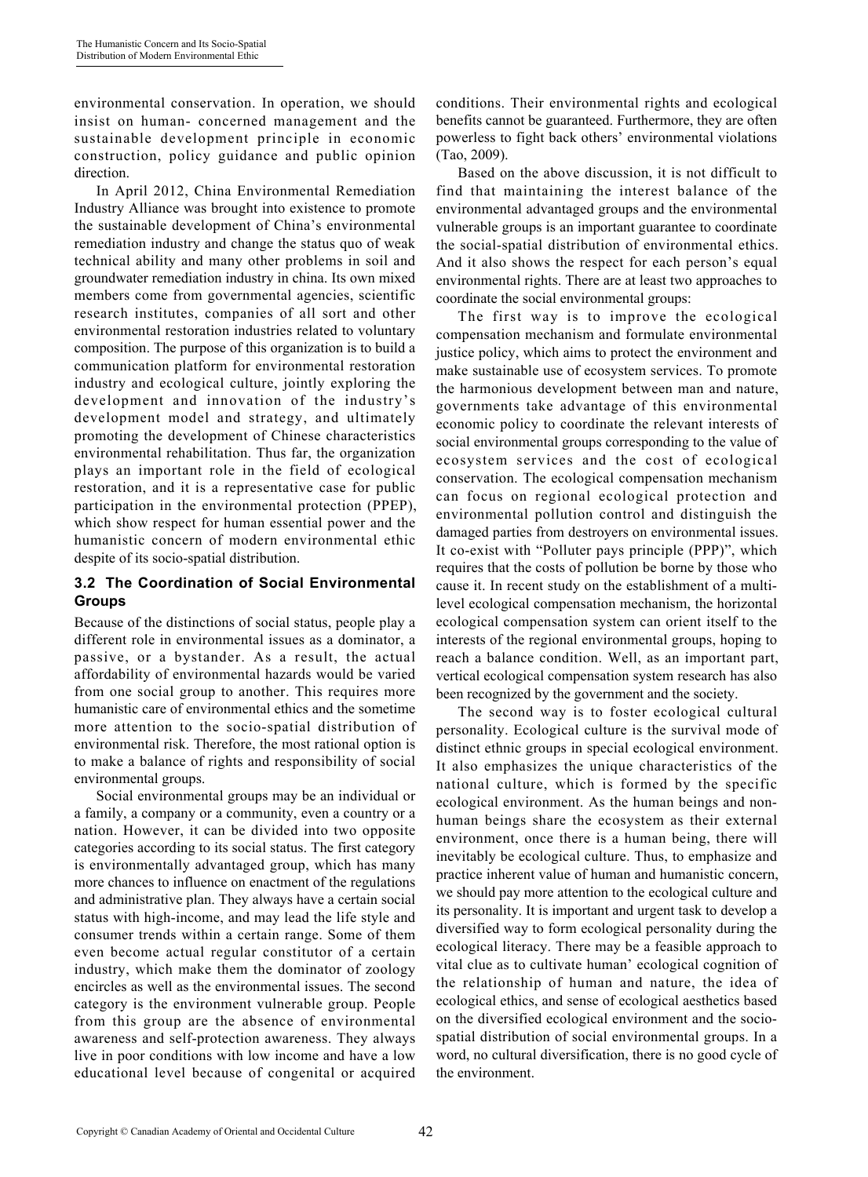environmental conservation. In operation, we should insist on human- concerned management and the sustainable development principle in economic construction, policy guidance and public opinion direction.

In April 2012, China Environmental Remediation Industry Alliance was brought into existence to promote the sustainable development of China's environmental remediation industry and change the status quo of weak technical ability and many other problems in soil and groundwater remediation industry in china. Its own mixed members come from governmental agencies, scientific research institutes, companies of all sort and other environmental restoration industries related to voluntary composition. The purpose of this organization is to build a communication platform for environmental restoration industry and ecological culture, jointly exploring the development and innovation of the industry's development model and strategy, and ultimately promoting the development of Chinese characteristics environmental rehabilitation. Thus far, the organization plays an important role in the field of ecological restoration, and it is a representative case for public participation in the environmental protection (PPEP), which show respect for human essential power and the humanistic concern of modern environmental ethic despite of its socio-spatial distribution.

#### **3.2 The Coordination of Social Environmental Groups**

Because of the distinctions of social status, people play a different role in environmental issues as a dominator, a passive, or a bystander. As a result, the actual affordability of environmental hazards would be varied from one social group to another. This requires more humanistic care of environmental ethics and the sometime more attention to the socio-spatial distribution of environmental risk. Therefore, the most rational option is to make a balance of rights and responsibility of social environmental groups.

Social environmental groups may be an individual or a family, a company or a community, even a country or a nation. However, it can be divided into two opposite categories according to its social status. The first category is environmentally advantaged group, which has many more chances to influence on enactment of the regulations and administrative plan. They always have a certain social status with high-income, and may lead the life style and consumer trends within a certain range. Some of them even become actual regular constitutor of a certain industry, which make them the dominator of zoology encircles as well as the environmental issues. The second category is the environment vulnerable group. People from this group are the absence of environmental awareness and self-protection awareness. They always live in poor conditions with low income and have a low educational level because of congenital or acquired conditions. Their environmental rights and ecological benefits cannot be guaranteed. Furthermore, they are often powerless to fight back others' environmental violations (Tao, 2009).

Based on the above discussion, it is not difficult to find that maintaining the interest balance of the environmental advantaged groups and the environmental vulnerable groups is an important guarantee to coordinate the social-spatial distribution of environmental ethics. And it also shows the respect for each person's equal environmental rights. There are at least two approaches to coordinate the social environmental groups:

The first way is to improve the ecological compensation mechanism and formulate environmental justice policy, which aims to protect the environment and make sustainable use of ecosystem services. To promote the harmonious development between man and nature, governments take advantage of this environmental economic policy to coordinate the relevant interests of social environmental groups corresponding to the value of ecosystem services and the cost of ecological conservation. The ecological compensation mechanism can focus on regional ecological protection and environmental pollution control and distinguish the damaged parties from destroyers on environmental issues. It co-exist with "Polluter pays principle (PPP)", which requires that the costs of pollution be borne by those who cause it. In recent study on the establishment of a multilevel ecological compensation mechanism, the horizontal ecological compensation system can orient itself to the interests of the regional environmental groups, hoping to reach a balance condition. Well, as an important part, vertical ecological compensation system research has also been recognized by the government and the society.

The second way is to foster ecological cultural personality. Ecological culture is the survival mode of distinct ethnic groups in special ecological environment. It also emphasizes the unique characteristics of the national culture, which is formed by the specific ecological environment. As the human beings and nonhuman beings share the ecosystem as their external environment, once there is a human being, there will inevitably be ecological culture. Thus, to emphasize and practice inherent value of human and humanistic concern, we should pay more attention to the ecological culture and its personality. It is important and urgent task to develop a diversified way to form ecological personality during the ecological literacy. There may be a feasible approach to vital clue as to cultivate human' ecological cognition of the relationship of human and nature, the idea of ecological ethics, and sense of ecological aesthetics based on the diversified ecological environment and the sociospatial distribution of social environmental groups. In a word, no cultural diversification, there is no good cycle of the environment.